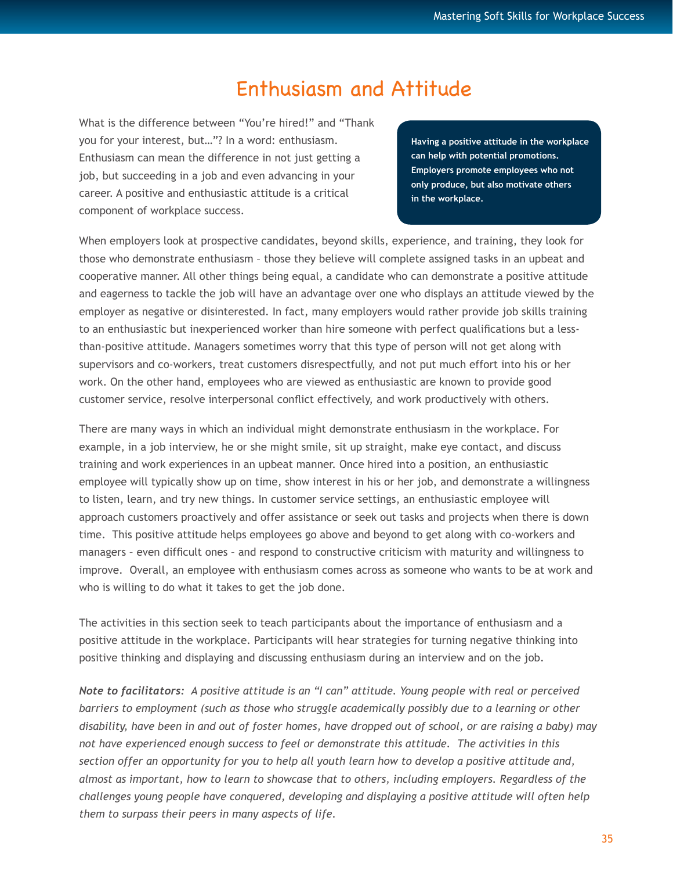# Enthusiasm and Attitude

What is the difference between "You're hired!" and "Thank you for your interest, but…"? In a word: enthusiasm. Enthusiasm can mean the difference in not just getting a job, but succeeding in a job and even advancing in your career. A positive and enthusiastic attitude is a critical component of workplace success.

**Having a positive attitude in the workplace can help with potential promotions. Employers promote employees who not only produce, but also motivate others in the workplace.**

When employers look at prospective candidates, beyond skills, experience, and training, they look for those who demonstrate enthusiasm – those they believe will complete assigned tasks in an upbeat and cooperative manner. All other things being equal, a candidate who can demonstrate a positive attitude and eagerness to tackle the job will have an advantage over one who displays an attitude viewed by the employer as negative or disinterested. In fact, many employers would rather provide job skills training to an enthusiastic but inexperienced worker than hire someone with perfect qualifications but a lessthan-positive attitude. Managers sometimes worry that this type of person will not get along with supervisors and co-workers, treat customers disrespectfully, and not put much effort into his or her work. On the other hand, employees who are viewed as enthusiastic are known to provide good customer service, resolve interpersonal conflict effectively, and work productively with others.

There are many ways in which an individual might demonstrate enthusiasm in the workplace. For example, in a job interview, he or she might smile, sit up straight, make eye contact, and discuss training and work experiences in an upbeat manner. Once hired into a position, an enthusiastic employee will typically show up on time, show interest in his or her job, and demonstrate a willingness to listen, learn, and try new things. In customer service settings, an enthusiastic employee will approach customers proactively and offer assistance or seek out tasks and projects when there is down time. This positive attitude helps employees go above and beyond to get along with co-workers and managers – even difficult ones – and respond to constructive criticism with maturity and willingness to improve. Overall, an employee with enthusiasm comes across as someone who wants to be at work and who is willing to do what it takes to get the job done.

The activities in this section seek to teach participants about the importance of enthusiasm and a positive attitude in the workplace. Participants will hear strategies for turning negative thinking into positive thinking and displaying and discussing enthusiasm during an interview and on the job.

*Note to facilitators: A positive attitude is an "I can" attitude. Young people with real or perceived barriers to employment (such as those who struggle academically possibly due to a learning or other disability, have been in and out of foster homes, have dropped out of school, or are raising a baby) may not have experienced enough success to feel or demonstrate this attitude. The activities in this section offer an opportunity for you to help all youth learn how to develop a positive attitude and, almost as important, how to learn to showcase that to others, including employers. Regardless of the challenges young people have conquered, developing and displaying a positive attitude will often help them to surpass their peers in many aspects of life.*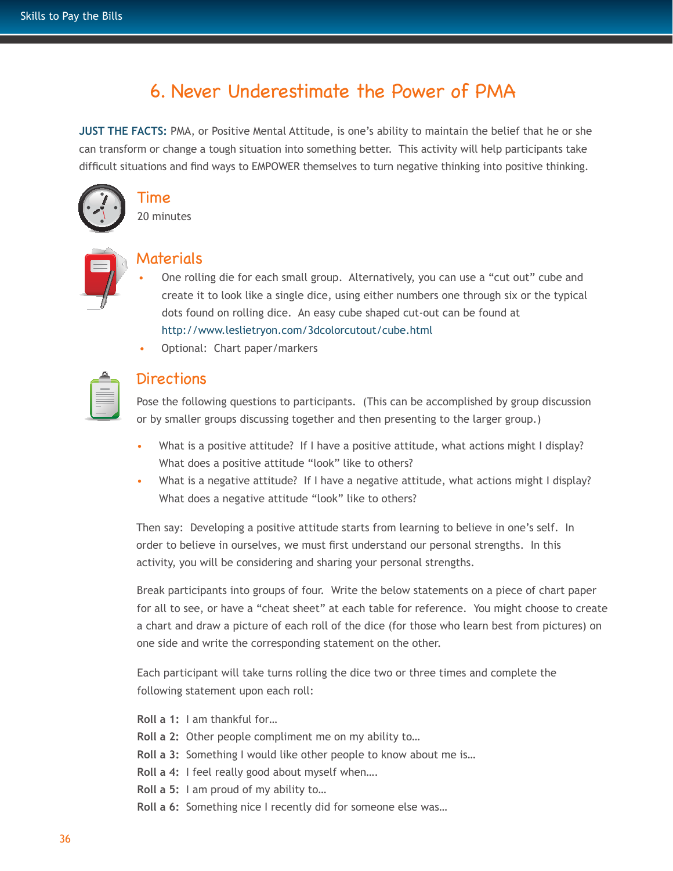## 6. Never Underestimate the Power of PMA

**JUST THE FACTS:** PMA, or Positive Mental Attitude, is one's ability to maintain the belief that he or she can transform or change a tough situation into something better. This activity will help participants take difficult situations and find ways to EMPOWER themselves to turn negative thinking into positive thinking.



# Time

20 minutes



#### Materials

- One rolling die for each small group. Alternatively, you can use a "cut out" cube and create it to look like a single dice, using either numbers one through six or the typical dots found on rolling dice. An easy cube shaped cut-out can be found at http://www.leslietryon.com/3dcolorcutout/cube.html
- Optional: Chart paper/markers

| _ |  |
|---|--|
|   |  |

## **Directions**

Pose the following questions to participants. (This can be accomplished by group discussion or by smaller groups discussing together and then presenting to the larger group.)

- What is a positive attitude? If I have a positive attitude, what actions might I display? What does a positive attitude "look" like to others?
- What is a negative attitude? If I have a negative attitude, what actions might I display? What does a negative attitude "look" like to others?

Then say: Developing a positive attitude starts from learning to believe in one's self. In order to believe in ourselves, we must first understand our personal strengths. In this activity, you will be considering and sharing your personal strengths.

Break participants into groups of four. Write the below statements on a piece of chart paper for all to see, or have a "cheat sheet" at each table for reference. You might choose to create a chart and draw a picture of each roll of the dice (for those who learn best from pictures) on one side and write the corresponding statement on the other.

Each participant will take turns rolling the dice two or three times and complete the following statement upon each roll:

**Roll a 1:** I am thankful for…

- **Roll a 2:** Other people compliment me on my ability to…
- **Roll a 3:** Something I would like other people to know about me is…
- **Roll a 4:** I feel really good about myself when….
- **Roll a 5:** I am proud of my ability to…
- **Roll a 6:** Something nice I recently did for someone else was…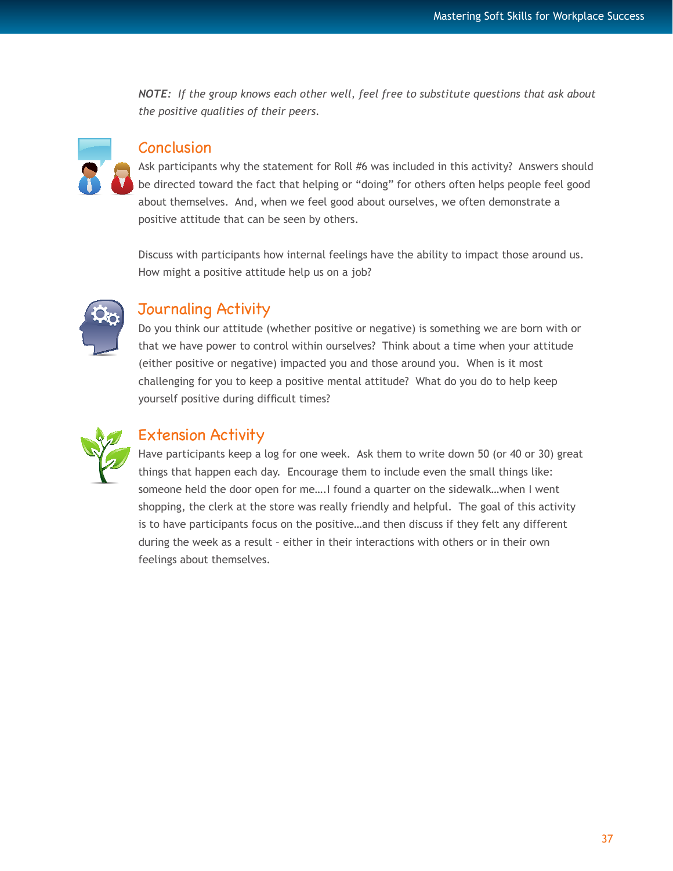*NOTE: If the group knows each other well, feel free to substitute questions that ask about the positive qualities of their peers.* 



#### Conclusion

Ask participants why the statement for Roll #6 was included in this activity? Answers should be directed toward the fact that helping or "doing" for others often helps people feel good about themselves. And, when we feel good about ourselves, we often demonstrate a positive attitude that can be seen by others.

Discuss with participants how internal feelings have the ability to impact those around us. How might a positive attitude help us on a job?



## Journaling Activity

Do you think our attitude (whether positive or negative) is something we are born with or that we have power to control within ourselves? Think about a time when your attitude (either positive or negative) impacted you and those around you. When is it most challenging for you to keep a positive mental attitude? What do you do to help keep yourself positive during difficult times?



## Extension Activity

Have participants keep a log for one week. Ask them to write down 50 (or 40 or 30) great things that happen each day. Encourage them to include even the small things like: someone held the door open for me....I found a quarter on the sidewalk...when I went shopping, the clerk at the store was really friendly and helpful. The goal of this activity is to have participants focus on the positive…and then discuss if they felt any different during the week as a result – either in their interactions with others or in their own feelings about themselves.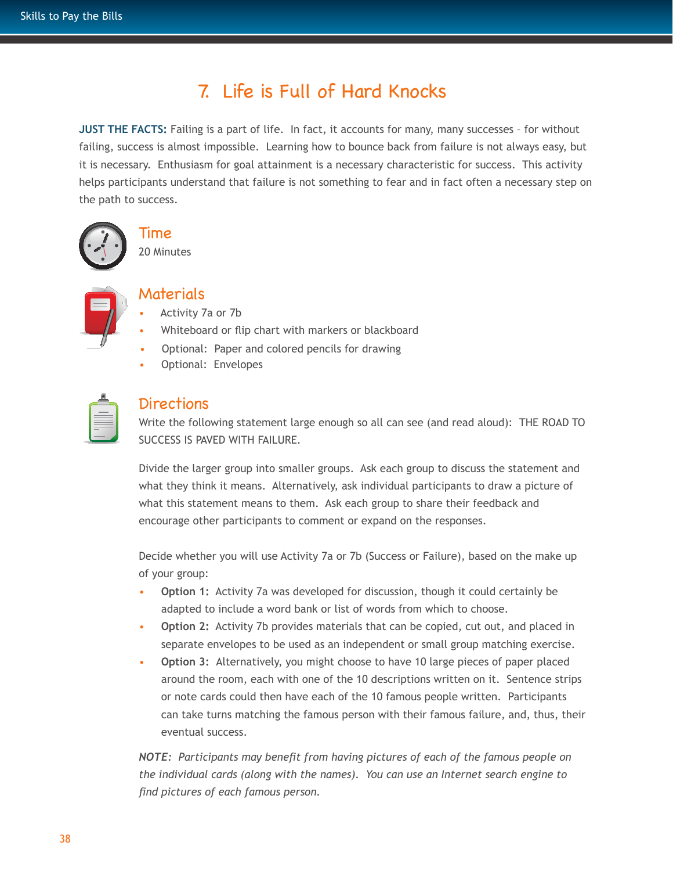# 7. Life is Full of Hard Knocks

**JUST THE FACTS:** Failing is a part of life. In fact, it accounts for many, many successes - for without failing, success is almost impossible. Learning how to bounce back from failure is not always easy, but it is necessary. Enthusiasm for goal attainment is a necessary characteristic for success. This activity helps participants understand that failure is not something to fear and in fact often a necessary step on the path to success.





20 Minutes

## Materials

- Activity 7a or 7b
- Whiteboard or flip chart with markers or blackboard
- Optional: Paper and colored pencils for drawing
- Optional: Envelopes

| _ |
|---|
|   |

## Directions

Write the following statement large enough so all can see (and read aloud): THE ROAD TO SUCCESS IS PAVED WITH FAILURE.

Divide the larger group into smaller groups. Ask each group to discuss the statement and what they think it means. Alternatively, ask individual participants to draw a picture of what this statement means to them. Ask each group to share their feedback and encourage other participants to comment or expand on the responses.

Decide whether you will use Activity 7a or 7b (Success or Failure), based on the make up of your group:

- **Option 1:** Activity 7a was developed for discussion, though it could certainly be adapted to include a word bank or list of words from which to choose.
- **Option 2:** Activity 7b provides materials that can be copied, cut out, and placed in separate envelopes to be used as an independent or small group matching exercise.
- **Option 3:** Alternatively, you might choose to have 10 large pieces of paper placed around the room, each with one of the 10 descriptions written on it. Sentence strips or note cards could then have each of the 10 famous people written. Participants can take turns matching the famous person with their famous failure, and, thus, their eventual success.

*NOTE: Participants may benefit from having pictures of each of the famous people on the individual cards (along with the names). You can use an Internet search engine to find pictures of each famous person.*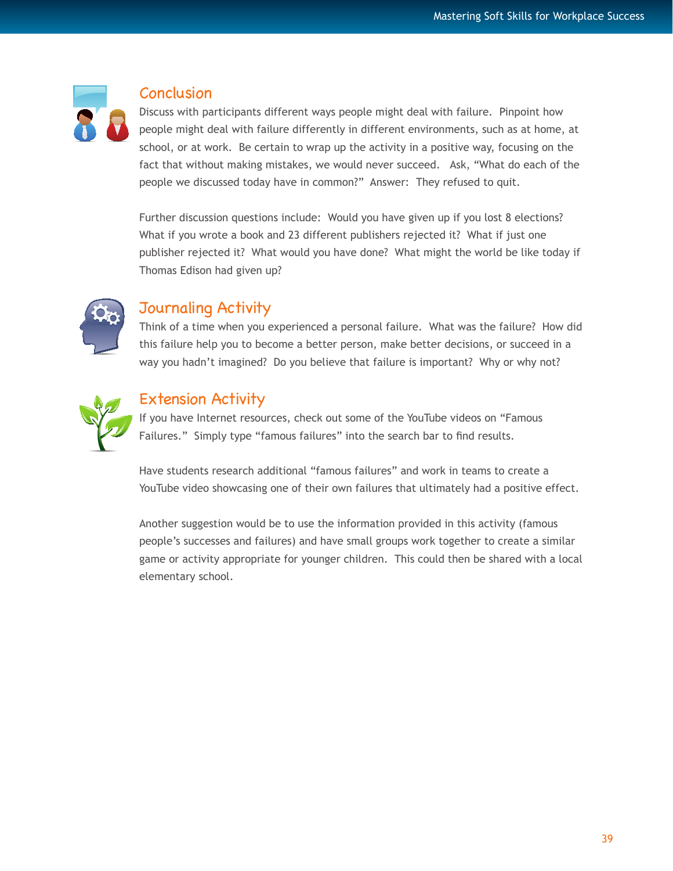

#### **Conclusion**

Discuss with participants different ways people might deal with failure. Pinpoint how people might deal with failure differently in different environments, such as at home, at school, or at work. Be certain to wrap up the activity in a positive way, focusing on the fact that without making mistakes, we would never succeed. Ask, "What do each of the people we discussed today have in common?" Answer: They refused to quit.

Further discussion questions include: Would you have given up if you lost 8 elections? What if you wrote a book and 23 different publishers rejected it? What if just one publisher rejected it? What would you have done? What might the world be like today if Thomas Edison had given up?



## Journaling Activity

Think of a time when you experienced a personal failure. What was the failure? How did this failure help you to become a better person, make better decisions, or succeed in a way you hadn't imagined? Do you believe that failure is important? Why or why not?



## Extension Activity

If you have Internet resources, check out some of the YouTube videos on "Famous Failures." Simply type "famous failures" into the search bar to find results.

Have students research additional "famous failures" and work in teams to create a YouTube video showcasing one of their own failures that ultimately had a positive effect.

Another suggestion would be to use the information provided in this activity (famous people's successes and failures) and have small groups work together to create a similar game or activity appropriate for younger children. This could then be shared with a local elementary school.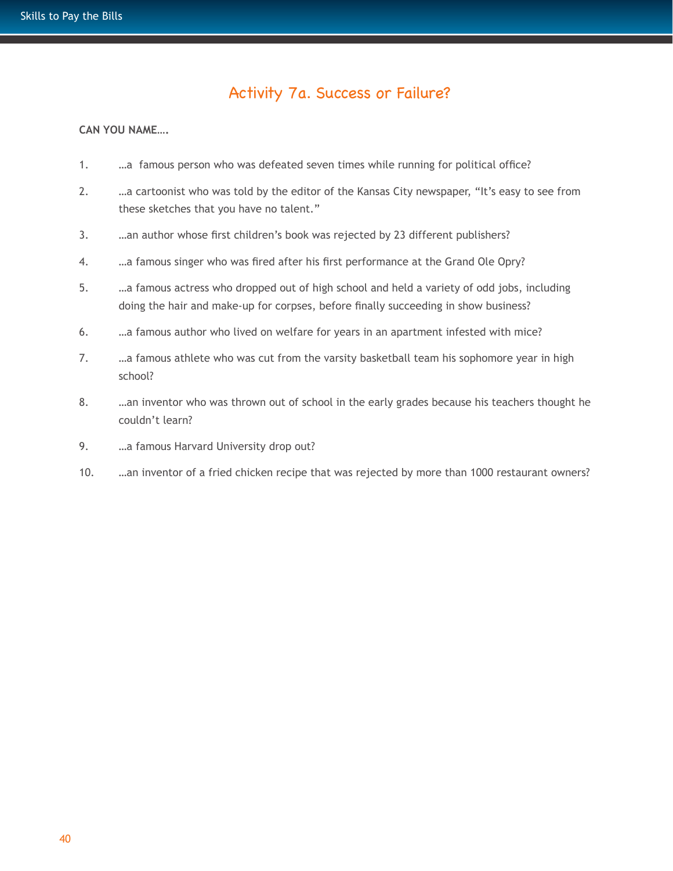## Activity 7a. Success or Failure?

#### **CAN YOU NAME….**

- 1. …a famous person who was defeated seven times while running for political office?
- 2. …a cartoonist who was told by the editor of the Kansas City newspaper, "It's easy to see from these sketches that you have no talent."
- 3. …an author whose first children's book was rejected by 23 different publishers?
- 4. …a famous singer who was fired after his first performance at the Grand Ole Opry?
- 5. …a famous actress who dropped out of high school and held a variety of odd jobs, including doing the hair and make-up for corpses, before finally succeeding in show business?
- 6. …a famous author who lived on welfare for years in an apartment infested with mice?
- 7. …a famous athlete who was cut from the varsity basketball team his sophomore year in high school?
- 8. …an inventor who was thrown out of school in the early grades because his teachers thought he couldn't learn?
- 9. …a famous Harvard University drop out?
- 10. …an inventor of a fried chicken recipe that was rejected by more than 1000 restaurant owners?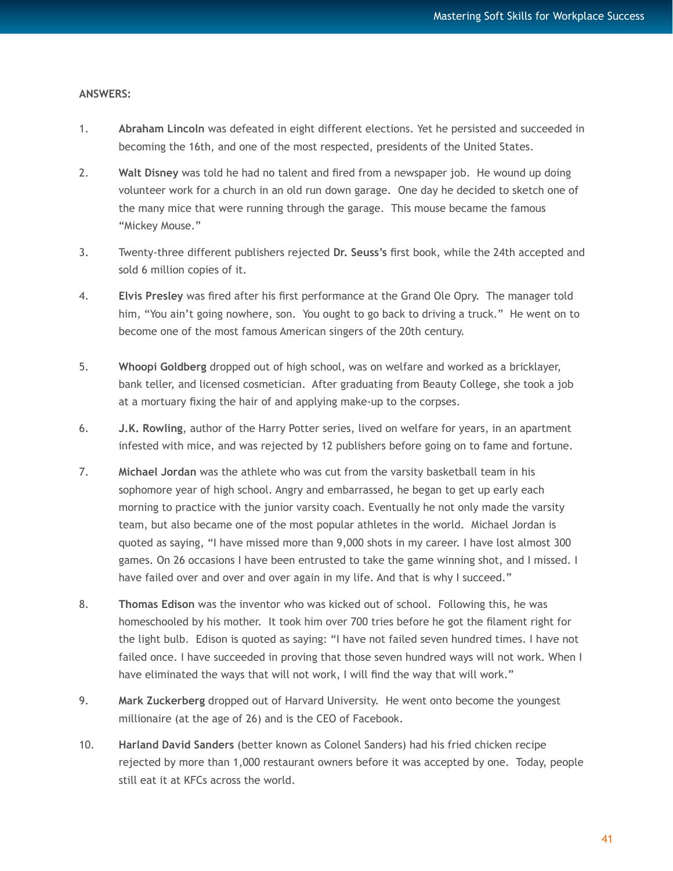#### **ANSWERS:**

- 1. **Abraham Lincoln** was defeated in eight different elections. Yet he persisted and succeeded in becoming the 16th, and one of the most respected, presidents of the United States.
- 2. **Walt Disney** was told he had no talent and fired from a newspaper job. He wound up doing volunteer work for a church in an old run down garage. One day he decided to sketch one of the many mice that were running through the garage. This mouse became the famous "Mickey Mouse."
- 3. Twenty-three different publishers rejected **Dr. Seuss's** first book, while the 24th accepted and sold 6 million copies of it.
- 4. **Elvis Presley** was fired after his first performance at the Grand Ole Opry. The manager told him, "You ain't going nowhere, son. You ought to go back to driving a truck." He went on to become one of the most famous American singers of the 20th century.
- 5. **Whoopi Goldberg** dropped out of high school, was on welfare and worked as a bricklayer, bank teller, and licensed cosmetician. After graduating from Beauty College, she took a job at a mortuary fixing the hair of and applying make-up to the corpses.
- 6. **J.K. Rowling**, author of the Harry Potter series, lived on welfare for years, in an apartment infested with mice, and was rejected by 12 publishers before going on to fame and fortune.
- 7. **Michael Jordan** was the athlete who was cut from the varsity basketball team in his sophomore year of high school. Angry and embarrassed, he began to get up early each morning to practice with the junior varsity coach. Eventually he not only made the varsity team, but also became one of the most popular athletes in the world. Michael Jordan is quoted as saying, "I have missed more than 9,000 shots in my career. I have lost almost 300 games. On 26 occasions I have been entrusted to take the game winning shot, and I missed. I have failed over and over and over again in my life. And that is why I succeed."
- 8. **Thomas Edison** was the inventor who was kicked out of school. Following this, he was homeschooled by his mother. It took him over 700 tries before he got the filament right for the light bulb. Edison is quoted as saying: "I have not failed seven hundred times. I have not failed once. I have succeeded in proving that those seven hundred ways will not work. When I have eliminated the ways that will not work, I will find the way that will work."
- 9. **Mark Zuckerberg** dropped out of Harvard University. He went onto become the youngest millionaire (at the age of 26) and is the CEO of Facebook.
- 10. **Harland David Sanders** (better known as Colonel Sanders) had his fried chicken recipe rejected by more than 1,000 restaurant owners before it was accepted by one. Today, people still eat it at KFCs across the world.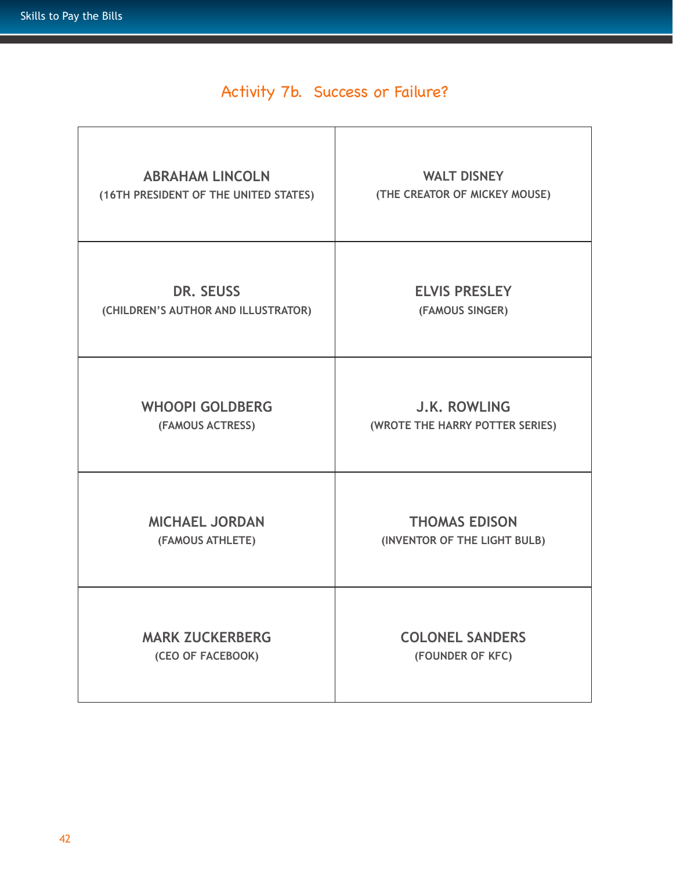# Activity 7b. Success or Failure?

| <b>ABRAHAM LINCOLN</b>                | <b>WALT DISNEY</b>              |
|---------------------------------------|---------------------------------|
| (16TH PRESIDENT OF THE UNITED STATES) | (THE CREATOR OF MICKEY MOUSE)   |
| <b>DR. SEUSS</b>                      | <b>ELVIS PRESLEY</b>            |
| (CHILDREN'S AUTHOR AND ILLUSTRATOR)   | (FAMOUS SINGER)                 |
| <b>WHOOPI GOLDBERG</b>                | <b>J.K. ROWLING</b>             |
| (FAMOUS ACTRESS)                      | (WROTE THE HARRY POTTER SERIES) |
| <b>MICHAEL JORDAN</b>                 | <b>THOMAS EDISON</b>            |
| (FAMOUS ATHLETE)                      | (INVENTOR OF THE LIGHT BULB)    |
| <b>MARK ZUCKERBERG</b>                | <b>COLONEL SANDERS</b>          |
| (CEO OF FACEBOOK)                     | (FOUNDER OF KFC)                |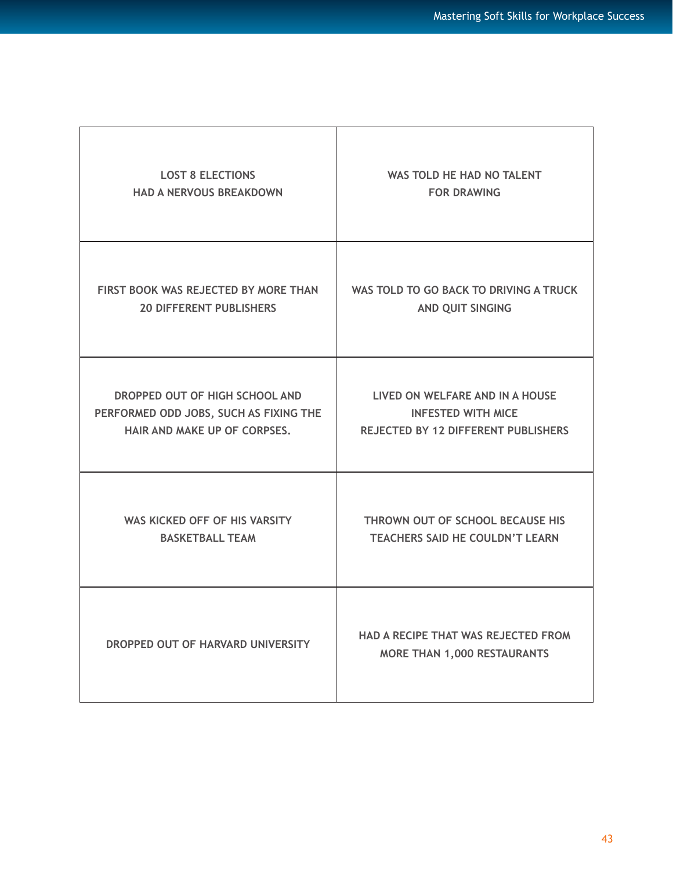| <b>LOST 8 ELECTIONS</b>                | WAS TOLD HE HAD NO TALENT                                                        |
|----------------------------------------|----------------------------------------------------------------------------------|
| <b>HAD A NERVOUS BREAKDOWN</b>         | <b>FOR DRAWING</b>                                                               |
| FIRST BOOK WAS REJECTED BY MORE THAN   | WAS TOLD TO GO BACK TO DRIVING A TRUCK                                           |
| <b>20 DIFFERENT PUBLISHERS</b>         | AND QUIT SINGING                                                                 |
| DROPPED OUT OF HIGH SCHOOL AND         | LIVED ON WELFARE AND IN A HOUSE                                                  |
| PERFORMED ODD JOBS, SUCH AS FIXING THE | <b>INFESTED WITH MICE</b>                                                        |
| HAIR AND MAKE UP OF CORPSES.           | REJECTED BY 12 DIFFERENT PUBLISHERS                                              |
| WAS KICKED OFF OF HIS VARSITY          | THROWN OUT OF SCHOOL BECAUSE HIS                                                 |
| <b>BASKETBALL TEAM</b>                 | <b>TEACHERS SAID HE COULDN'T LEARN</b>                                           |
| DROPPED OUT OF HARVARD UNIVERSITY      | <b>HAD A RECIPE THAT WAS REJECTED FROM</b><br><b>MORE THAN 1,000 RESTAURANTS</b> |

 $\top$ 

Г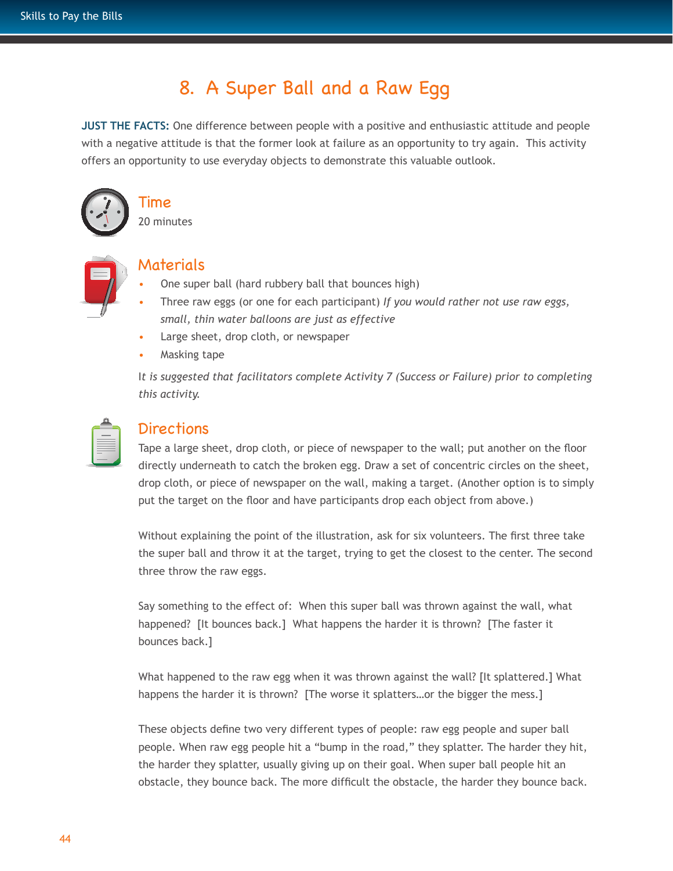# 8. A Super Ball and a Raw Egg

**JUST THE FACTS:** One difference between people with a positive and enthusiastic attitude and people with a negative attitude is that the former look at failure as an opportunity to try again. This activity offers an opportunity to use everyday objects to demonstrate this valuable outlook.



# Time

20 minutes



#### Materials

- One super ball (hard rubbery ball that bounces high)
- Three raw eggs (or one for each participant) *If you would rather not use raw eggs, small, thin water balloons are just as effective*
- Large sheet, drop cloth, or newspaper
- Masking tape

I*t is suggested that facilitators complete Activity 7 (Success or Failure) prior to completing this activity.* 

| ٥ |
|---|
|   |
|   |
| ۹ |
|   |

## **Directions**

Tape a large sheet, drop cloth, or piece of newspaper to the wall; put another on the floor directly underneath to catch the broken egg. Draw a set of concentric circles on the sheet, drop cloth, or piece of newspaper on the wall, making a target. (Another option is to simply put the target on the floor and have participants drop each object from above.)

Without explaining the point of the illustration, ask for six volunteers. The first three take the super ball and throw it at the target, trying to get the closest to the center. The second three throw the raw eggs.

Say something to the effect of: When this super ball was thrown against the wall, what happened? [It bounces back.] What happens the harder it is thrown? [The faster it bounces back.]

What happened to the raw egg when it was thrown against the wall? [It splattered.] What happens the harder it is thrown? [The worse it splatters...or the bigger the mess.]

These objects define two very different types of people: raw egg people and super ball people. When raw egg people hit a "bump in the road," they splatter. The harder they hit, the harder they splatter, usually giving up on their goal. When super ball people hit an obstacle, they bounce back. The more difficult the obstacle, the harder they bounce back.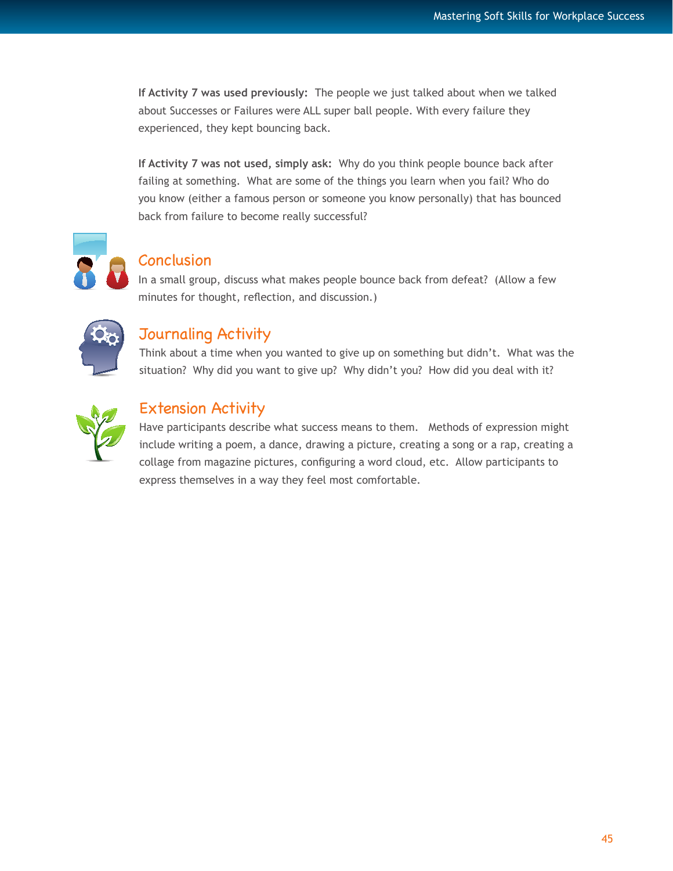**If Activity 7 was used previously:** The people we just talked about when we talked about Successes or Failures were ALL super ball people. With every failure they experienced, they kept bouncing back.

**If Activity 7 was not used, simply ask:** Why do you think people bounce back after failing at something. What are some of the things you learn when you fail? Who do you know (either a famous person or someone you know personally) that has bounced back from failure to become really successful?



#### **Conclusion**

In a small group, discuss what makes people bounce back from defeat? (Allow a few minutes for thought, reflection, and discussion.)



## Journaling Activity

Think about a time when you wanted to give up on something but didn't. What was the situation? Why did you want to give up? Why didn't you? How did you deal with it?



## Extension Activity

Have participants describe what success means to them. Methods of expression might include writing a poem, a dance, drawing a picture, creating a song or a rap, creating a collage from magazine pictures, configuring a word cloud, etc. Allow participants to express themselves in a way they feel most comfortable.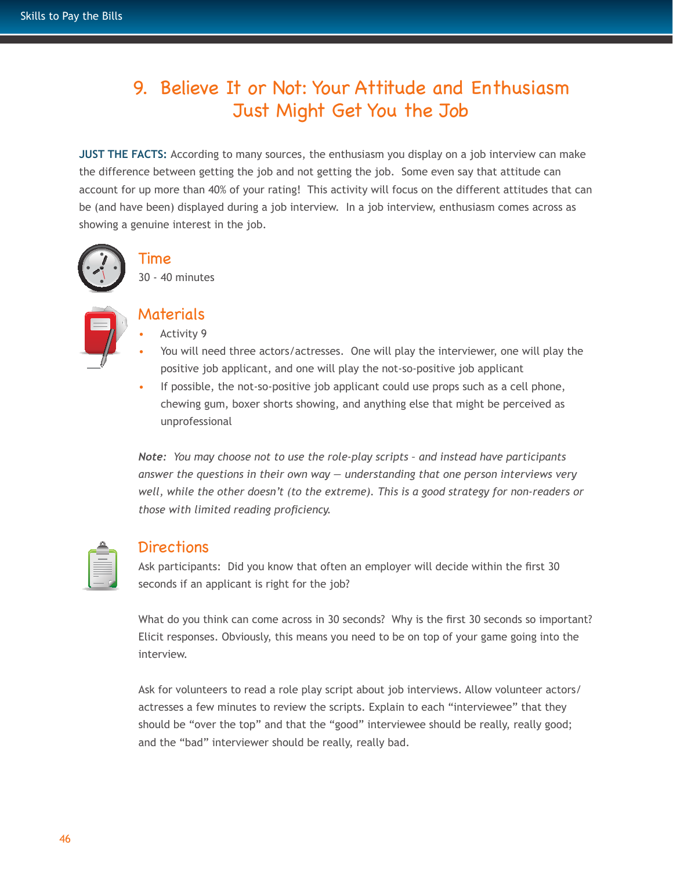# 9. Believe It or Not: Your Attitude and Enthusiasm Just Might Get You the Job

**JUST THE FACTS:** According to many sources, the enthusiasm you display on a job interview can make the difference between getting the job and not getting the job. Some even say that attitude can account for up more than 40% of your rating! This activity will focus on the different attitudes that can be (and have been) displayed during a job interview. In a job interview, enthusiasm comes across as showing a genuine interest in the job.



## Time

30 - 40 minutes



#### Materials

- Activity 9
- You will need three actors/actresses. One will play the interviewer, one will play the positive job applicant, and one will play the not-so-positive job applicant
- If possible, the not-so-positive job applicant could use props such as a cell phone, chewing gum, boxer shorts showing, and anything else that might be perceived as unprofessional

*Note: You may choose not to use the role-play scripts – and instead have participants answer the questions in their own way — understanding that one person interviews very well, while the other doesn't (to the extreme). This is a good strategy for non-readers or those with limited reading proficiency.* 

| _ |
|---|
|   |

#### Directions

Ask participants: Did you know that often an employer will decide within the first 30 seconds if an applicant is right for the job?

What do you think can come across in 30 seconds? Why is the first 30 seconds so important? Elicit responses. Obviously, this means you need to be on top of your game going into the interview.

Ask for volunteers to read a role play script about job interviews. Allow volunteer actors/ actresses a few minutes to review the scripts. Explain to each "interviewee" that they should be "over the top" and that the "good" interviewee should be really, really good; and the "bad" interviewer should be really, really bad.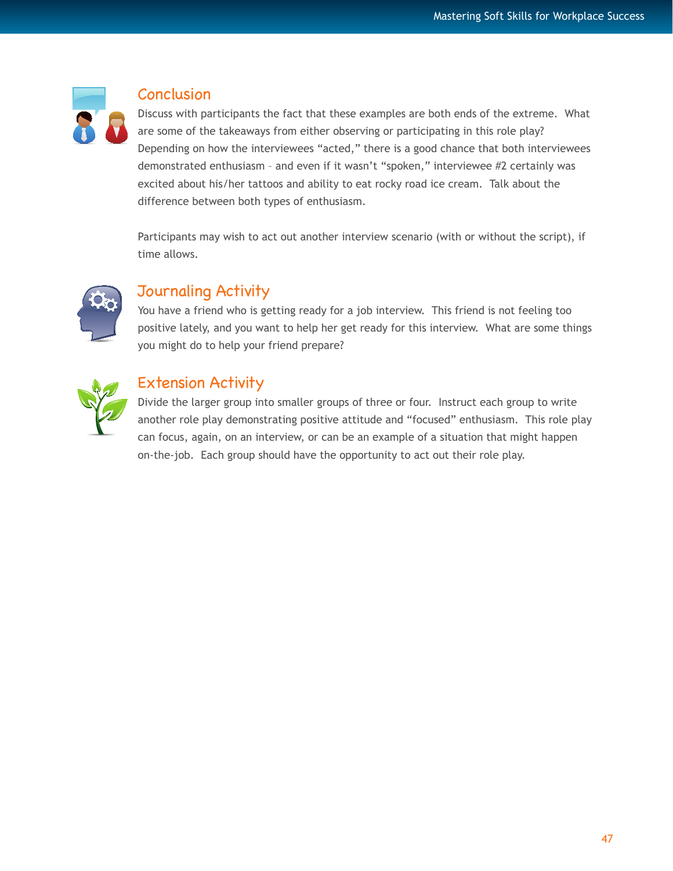

#### Conclusion

Discuss with participants the fact that these examples are both ends of the extreme. What are some of the takeaways from either observing or participating in this role play? Depending on how the interviewees "acted," there is a good chance that both interviewees demonstrated enthusiasm – and even if it wasn't "spoken," interviewee #2 certainly was excited about his/her tattoos and ability to eat rocky road ice cream. Talk about the difference between both types of enthusiasm.

Participants may wish to act out another interview scenario (with or without the script), if time allows.



## Journaling Activity

You have a friend who is getting ready for a job interview. This friend is not feeling too positive lately, and you want to help her get ready for this interview. What are some things you might do to help your friend prepare?



## Extension Activity

Divide the larger group into smaller groups of three or four. Instruct each group to write another role play demonstrating positive attitude and "focused" enthusiasm. This role play can focus, again, on an interview, or can be an example of a situation that might happen on-the-job. Each group should have the opportunity to act out their role play.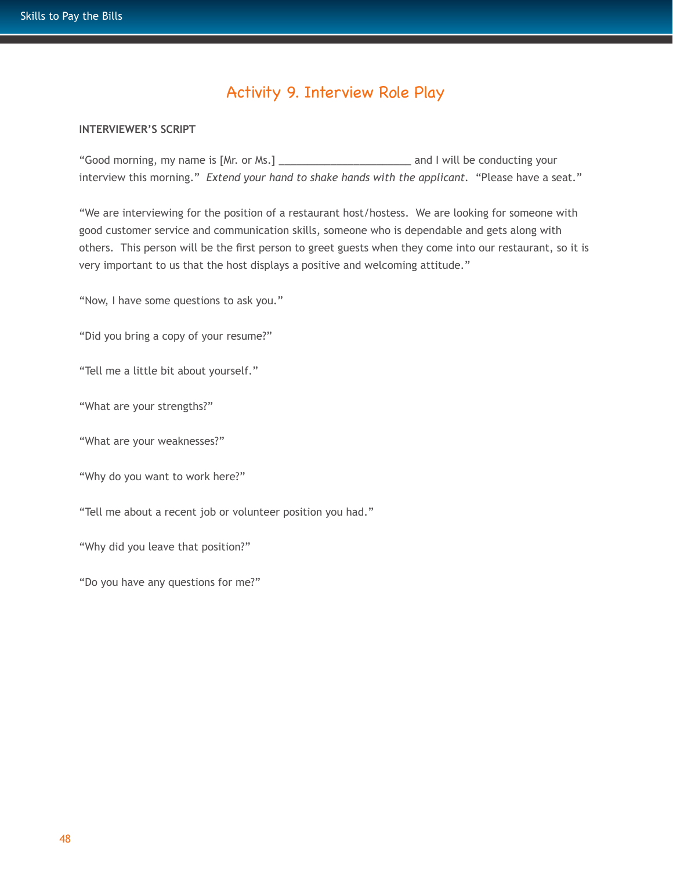## Activity 9. Interview Role Play

#### **INTERVIEWER'S SCRIPT**

"Good morning, my name is [Mr. or Ms.] \_\_\_\_\_\_\_\_\_\_\_\_\_\_\_\_\_\_\_\_\_\_\_ and I will be conducting your interview this morning." *Extend your hand to shake hands with the applicant.* "Please have a seat."

"We are interviewing for the position of a restaurant host/hostess. We are looking for someone with good customer service and communication skills, someone who is dependable and gets along with others. This person will be the first person to greet guests when they come into our restaurant, so it is very important to us that the host displays a positive and welcoming attitude."

"Now, I have some questions to ask you."

"Did you bring a copy of your resume?"

"Tell me a little bit about yourself."

"What are your strengths?"

"What are your weaknesses?"

"Why do you want to work here?"

"Tell me about a recent job or volunteer position you had."

"Why did you leave that position?"

"Do you have any questions for me?"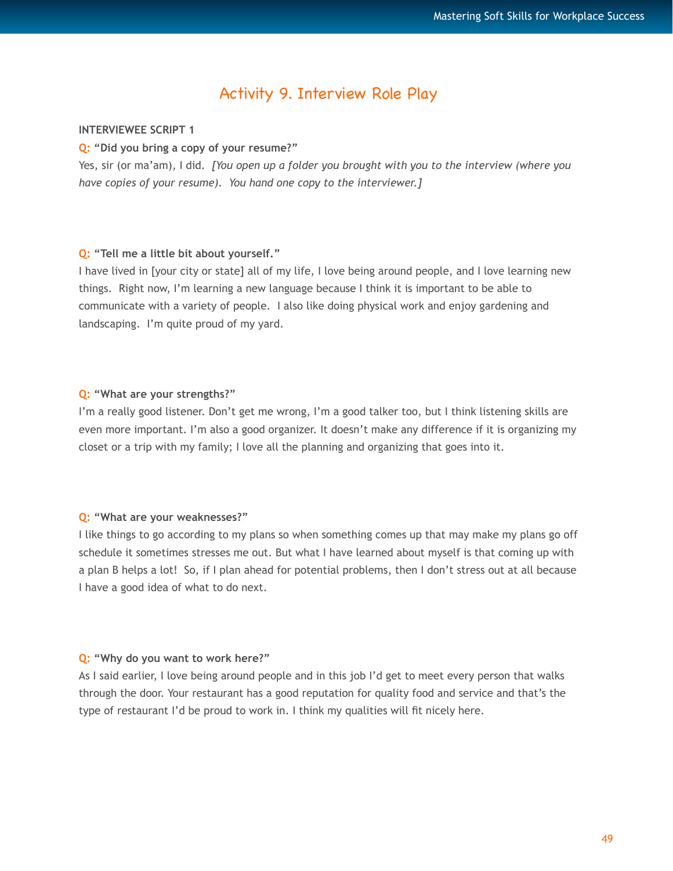## Activity 9. Interview Role Play

#### **INTERVIEWEE SCRIPT 1**

**Q: "Did you bring a copy of your resume?"**

Yes, sir (or ma'am), I did. *[You open up a folder you brought with you to the interview (where you have copies of your resume). You hand one copy to the interviewer.]* 

#### **Q: "Tell me a little bit about yourself."**

I have lived in [your city or state] all of my life, I love being around people, and I love learning new things. Right now, I'm learning a new language because I think it is important to be able to communicate with a variety of people. I also like doing physical work and enjoy gardening and landscaping. I'm quite proud of my yard.

#### **Q: "What are your strengths?"**

I'm a really good listener. Don't get me wrong, I'm a good talker too, but I think listening skills are even more important. I'm also a good organizer. It doesn't make any difference if it is organizing my closet or a trip with my family; I love all the planning and organizing that goes into it.

#### **Q: "What are your weaknesses?"**

I like things to go according to my plans so when something comes up that may make my plans go off schedule it sometimes stresses me out. But what I have learned about myself is that coming up with a plan B helps a lot! So, if I plan ahead for potential problems, then I don't stress out at all because I have a good idea of what to do next.

#### **Q: "Why do you want to work here?"**

As I said earlier, I love being around people and in this job I'd get to meet every person that walks through the door. Your restaurant has a good reputation for quality food and service and that's the type of restaurant I'd be proud to work in. I think my qualities will fit nicely here.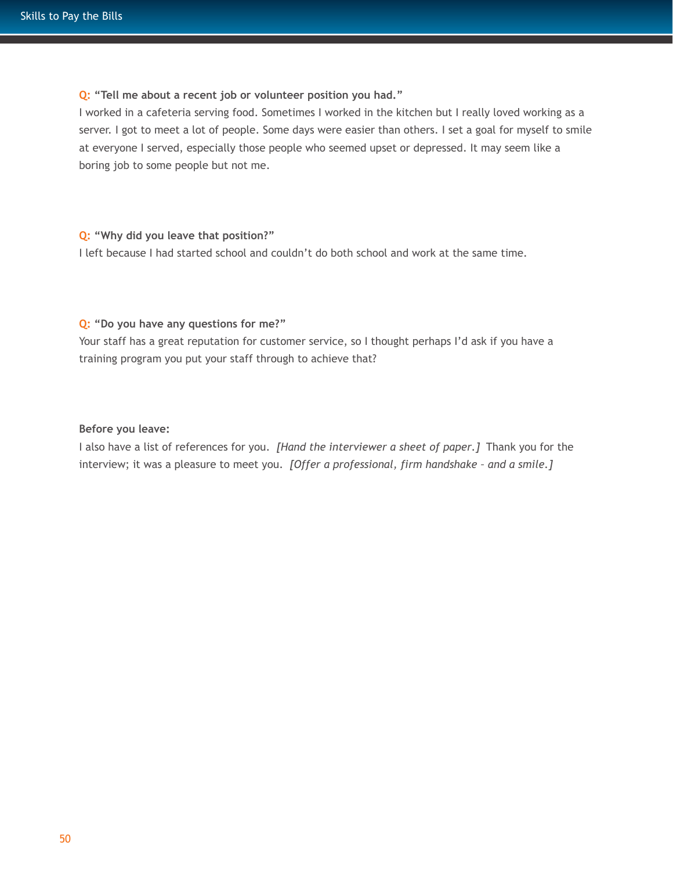#### **Q: "Tell me about a recent job or volunteer position you had."**

I worked in a cafeteria serving food. Sometimes I worked in the kitchen but I really loved working as a server. I got to meet a lot of people. Some days were easier than others. I set a goal for myself to smile at everyone I served, especially those people who seemed upset or depressed. It may seem like a boring job to some people but not me.

#### **Q: "Why did you leave that position?"**

I left because I had started school and couldn't do both school and work at the same time.

#### **Q: "Do you have any questions for me?"**

Your staff has a great reputation for customer service, so I thought perhaps I'd ask if you have a training program you put your staff through to achieve that?

#### **Before you leave:**

I also have a list of references for you. *[Hand the interviewer a sheet of paper.]* Thank you for the interview; it was a pleasure to meet you. *[Offer a professional, firm handshake – and a smile.]*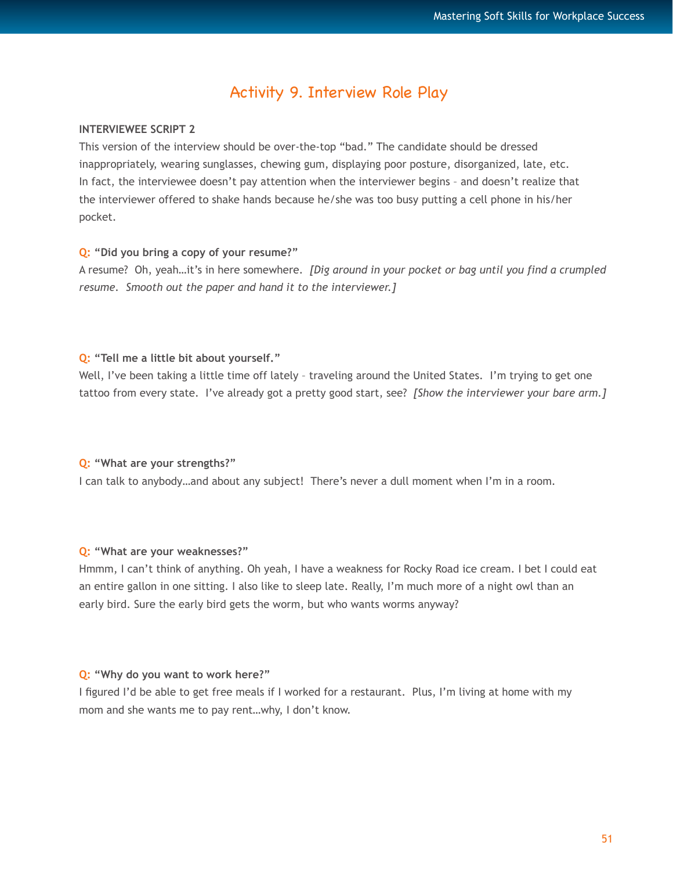## Activity 9. Interview Role Play

#### **INTERVIEWEE SCRIPT 2**

This version of the interview should be over-the-top "bad." The candidate should be dressed inappropriately, wearing sunglasses, chewing gum, displaying poor posture, disorganized, late, etc. In fact, the interviewee doesn't pay attention when the interviewer begins - and doesn't realize that the interviewer offered to shake hands because he/she was too busy putting a cell phone in his/her pocket.

#### **Q: "Did you bring a copy of your resume?"**

A resume? Oh, yeah…it's in here somewhere. *[Dig around in your pocket or bag until you find a crumpled resume. Smooth out the paper and hand it to the interviewer.]*

#### **Q: "Tell me a little bit about yourself."**

Well, I've been taking a little time off lately - traveling around the United States. I'm trying to get one tattoo from every state. I've already got a pretty good start, see? *[Show the interviewer your bare arm.]* 

#### **Q: "What are your strengths?"**

I can talk to anybody…and about any subject! There's never a dull moment when I'm in a room.

#### **Q: "What are your weaknesses?"**

Hmmm, I can't think of anything. Oh yeah, I have a weakness for Rocky Road ice cream. I bet I could eat an entire gallon in one sitting. I also like to sleep late. Really, I'm much more of a night owl than an early bird. Sure the early bird gets the worm, but who wants worms anyway?

#### **Q: "Why do you want to work here?"**

I figured I'd be able to get free meals if I worked for a restaurant. Plus, I'm living at home with my mom and she wants me to pay rent…why, I don't know.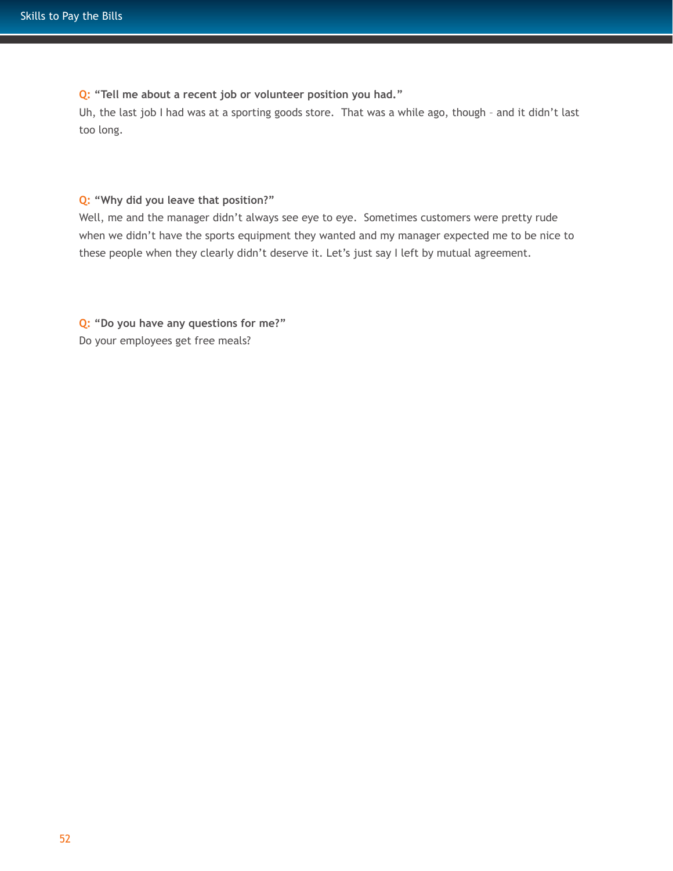**Q: "Tell me about a recent job or volunteer position you had."**

Uh, the last job I had was at a sporting goods store. That was a while ago, though – and it didn't last too long.

**Q: "Why did you leave that position?"**

Well, me and the manager didn't always see eye to eye. Sometimes customers were pretty rude when we didn't have the sports equipment they wanted and my manager expected me to be nice to these people when they clearly didn't deserve it. Let's just say I left by mutual agreement.

**Q: "Do you have any questions for me?"** Do your employees get free meals?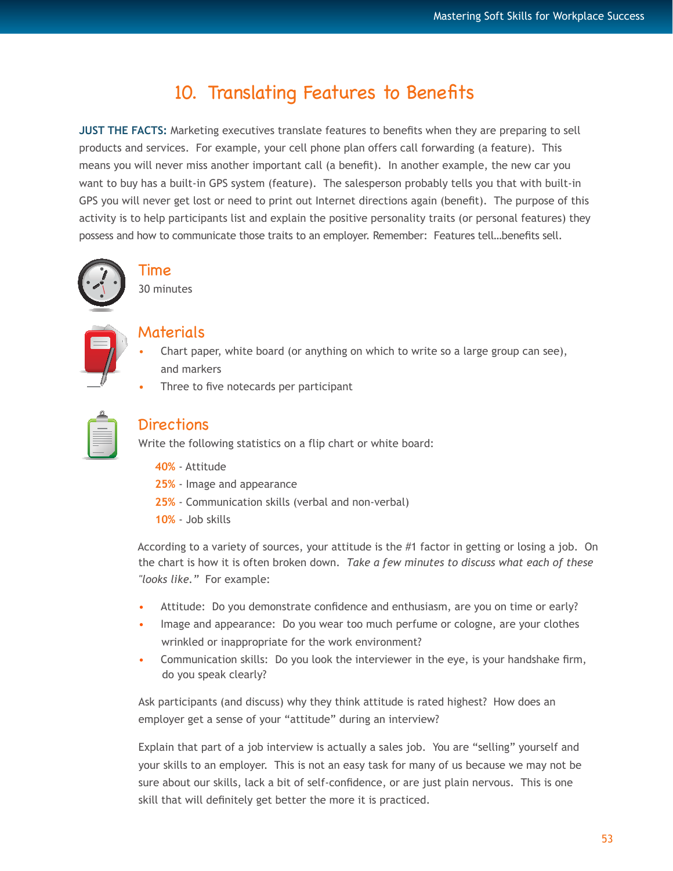# 10. Translating Features to Benefits

**JUST THE FACTS:** Marketing executives translate features to benefits when they are preparing to sell products and services. For example, your cell phone plan offers call forwarding (a feature). This means you will never miss another important call (a benefit). In another example, the new car you want to buy has a built-in GPS system (feature). The salesperson probably tells you that with built-in GPS you will never get lost or need to print out Internet directions again (benefit). The purpose of this activity is to help participants list and explain the positive personality traits (or personal features) they possess and how to communicate those traits to an employer. Remember: Features tell…benefits sell.



## Time

30 minutes

- Materials
- Chart paper, white board (or anything on which to write so a large group can see), and markers
- Three to five notecards per participant

| _ |  |
|---|--|
|   |  |

## **Directions**

Write the following statistics on a flip chart or white board:

- **40%** Attitude
- **25%** Image and appearance
- **25%**  Communication skills (verbal and non-verbal)
- **10%** Job skills

According to a variety of sources, your attitude is the #1 factor in getting or losing a job. On the chart is how it is often broken down. *Take a few minutes to discuss what each of these "looks like."* For example:

- Attitude: Do you demonstrate confidence and enthusiasm, are you on time or early?
- Image and appearance: Do you wear too much perfume or cologne, are your clothes wrinkled or inappropriate for the work environment?
- Communication skills: Do you look the interviewer in the eye, is your handshake firm, do you speak clearly?

Ask participants (and discuss) why they think attitude is rated highest? How does an employer get a sense of your "attitude" during an interview?

Explain that part of a job interview is actually a sales job. You are "selling" yourself and your skills to an employer. This is not an easy task for many of us because we may not be sure about our skills, lack a bit of self-confidence, or are just plain nervous. This is one skill that will definitely get better the more it is practiced.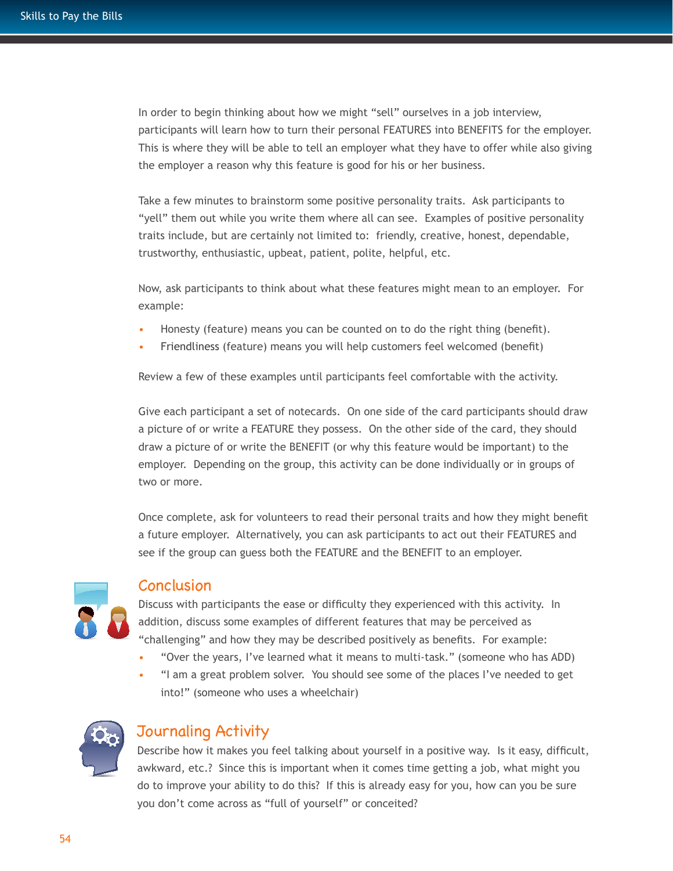In order to begin thinking about how we might "sell" ourselves in a job interview, participants will learn how to turn their personal FEATURES into BENEFITS for the employer. This is where they will be able to tell an employer what they have to offer while also giving the employer a reason why this feature is good for his or her business.

Take a few minutes to brainstorm some positive personality traits. Ask participants to "yell" them out while you write them where all can see. Examples of positive personality traits include, but are certainly not limited to: friendly, creative, honest, dependable, trustworthy, enthusiastic, upbeat, patient, polite, helpful, etc.

Now, ask participants to think about what these features might mean to an employer. For example:

- Honesty (feature) means you can be counted on to do the right thing (benefit).
- Friendliness (feature) means you will help customers feel welcomed (benefit)

Review a few of these examples until participants feel comfortable with the activity.

Give each participant a set of notecards. On one side of the card participants should draw a picture of or write a FEATURE they possess. On the other side of the card, they should draw a picture of or write the BENEFIT (or why this feature would be important) to the employer. Depending on the group, this activity can be done individually or in groups of two or more.

Once complete, ask for volunteers to read their personal traits and how they might benefit a future employer. Alternatively, you can ask participants to act out their FEATURES and see if the group can guess both the FEATURE and the BENEFIT to an employer.



#### **Conclusion**

Discuss with participants the ease or difficulty they experienced with this activity. In addition, discuss some examples of different features that may be perceived as "challenging" and how they may be described positively as benefits. For example:

- "Over the years, I've learned what it means to multi-task." (someone who has ADD)
- "I am a great problem solver. You should see some of the places I've needed to get into!" (someone who uses a wheelchair)



## Journaling Activity

Describe how it makes you feel talking about yourself in a positive way. Is it easy, difficult, awkward, etc.? Since this is important when it comes time getting a job, what might you do to improve your ability to do this? If this is already easy for you, how can you be sure you don't come across as "full of yourself" or conceited?